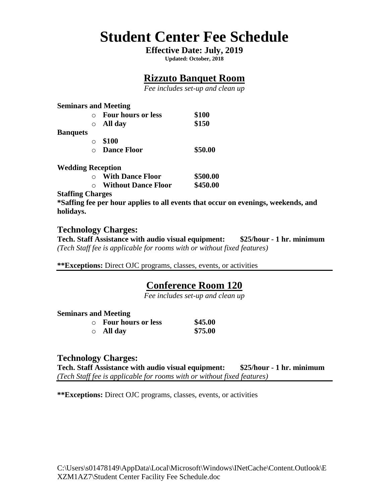# **Student Center Fee Schedule**

### **Effective Date: July, 2019**

**Updated: October, 2018**

# **Rizzuto Banquet Room**

*Fee includes set-up and clean up*

**Seminars and Meeting**

| <b>Banquets</b> | $\cap$     | <b>Four hours or less</b><br>$\circ$ All day | \$100<br>\$150 |
|-----------------|------------|----------------------------------------------|----------------|
|                 | $\bigcirc$ | \$100<br><b>Dance Floor</b>                  | \$50.00        |

**Wedding Reception** 

| $\cap$    | <b>With Dance Floor</b>    | \$500.00 |
|-----------|----------------------------|----------|
| $\bigcap$ | <b>Without Dance Floor</b> | \$450.00 |

**Staffing Charges**

**\*Saffing fee per hour applies to all events that occur on evenings, weekends, and holidays.** 

**Technology Charges: Tech. Staff Assistance with audio visual equipment: \$25/hour - 1 hr. minimum** *(Tech Staff fee is applicable for rooms with or without fixed features)* 

**\*\*Exceptions:** Direct OJC programs, classes, events, or activities

# **Conference Room 120**

*Fee includes set-up and clean up*

#### **Seminars and Meeting**

| $\circ$ Four hours or less | \$45.00 |
|----------------------------|---------|
| $\circ$ All day            | \$75.00 |

### **Technology Charges:**

**Tech. Staff Assistance with audio visual equipment: \$25/hour - 1 hr. minimum** *(Tech Staff fee is applicable for rooms with or without fixed features)* 

**\*\*Exceptions:** Direct OJC programs, classes, events, or activities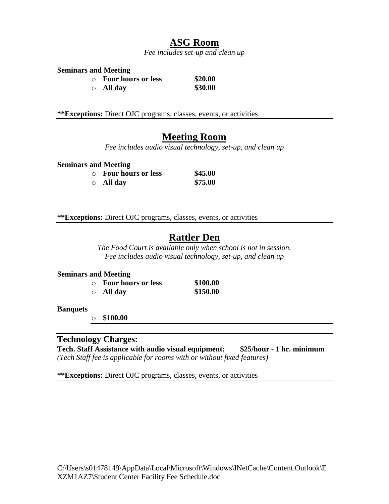### **ASG Room**

*Fee includes set-up and clean up*

#### **Seminars and Meeting**

| $\circ$ Four hours or less | \$20.00 |
|----------------------------|---------|
| $\circ$ All day            | \$30.00 |

**\*\*Exceptions:** Direct OJC programs, classes, events, or activities

### **Meeting Room**

*Fee includes audio visual technology, set-up, and clean up*

#### **Seminars and Meeting**

| $\circ$ Four hours or less | \$45.00 |
|----------------------------|---------|
| $\circ$ All day            | \$75.00 |

**\*\*Exceptions:** Direct OJC programs, classes, events, or activities

# **Rattler Den**

*The Food Court is available only when school is not in session. Fee includes audio visual technology, set-up, and clean up*

#### **Seminars and Meeting**

| $\circ$ Four hours or less | \$100.00 |
|----------------------------|----------|
| $\circ$ All day            | \$150.00 |

#### **Banquets**

o **\$100.00** 

### **Technology Charges:**

**Tech. Staff Assistance with audio visual equipment: \$25/hour - 1 hr. minimum** *(Tech Staff fee is applicable for rooms with or without fixed features)* 

**\*\*Exceptions:** Direct OJC programs, classes, events, or activities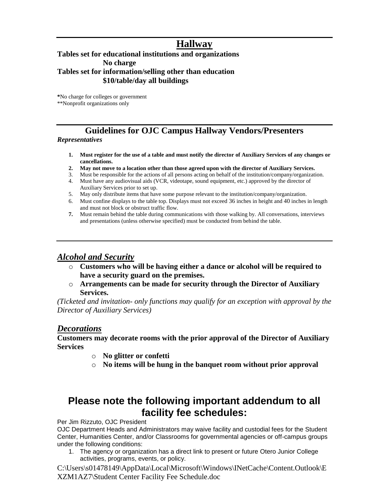### **Hallway**

#### **Tables set for educational institutions and organizations No charge Tables set for information/selling other than education \$10/table/day all buildings**

**\***No charge for colleges or government \*\*Nonprofit organizations only

# **Guidelines for OJC Campus Hallway Vendors/Presenters**

#### *Representatives*

- **1. Must register for the use of a table and must notify the director of Auxiliary Services of any changes or cancellations.**
- **2. May not move to a location other than those agreed upon with the director of Auxiliary Services.**
- 3. Must be responsible for the actions of all persons acting on behalf of the institution/company/organization. 4. Must have any audiovisual aids (VCR, videotape, sound equipment, etc.) approved by the director of
- Auxiliary Services prior to set up.
- 5. May only distribute items that have some purpose relevant to the institution/company/organization.
- 6. Must confine displays to the table top. Displays must not exceed 36 inches in height and 40 inches in length and must not block or obstruct traffic flow.
- **7.** Must remain behind the table during communications with those walking by. All conversations, interviews and presentations (unless otherwise specified) must be conducted from behind the table.

### *Alcohol and Security*

- o **Customers who will be having either a dance or alcohol will be required to have a security guard on the premises.**
- o **Arrangements can be made for security through the Director of Auxiliary Services.**

*(Ticketed and invitation- only functions may qualify for an exception with approval by the Director of Auxiliary Services)*

### *Decorations*

#### **Customers may decorate rooms with the prior approval of the Director of Auxiliary Services**

- o **No glitter or confetti**
- o **No items will be hung in the banquet room without prior approval**

# **Please note the following important addendum to all facility fee schedules:**

Per Jim Rizzuto, OJC President

OJC Department Heads and Administrators may waive facility and custodial fees for the Student Center, Humanities Center, and/or Classrooms for governmental agencies or off-campus groups under the following conditions:

1. The agency or organization has a direct link to present or future Otero Junior College activities, programs, events, or policy.

C:\Users\s01478149\AppData\Local\Microsoft\Windows\INetCache\Content.Outlook\E XZM1AZ7\Student Center Facility Fee Schedule.doc